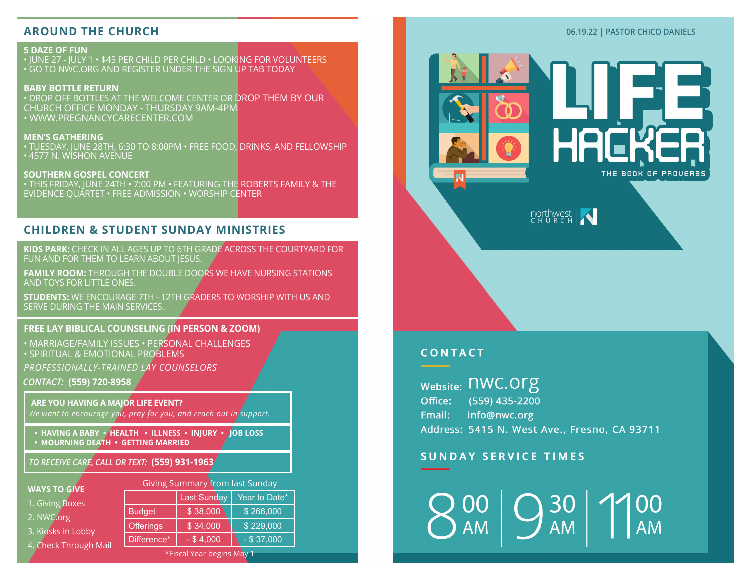## **AROUND THE CHURCH**

#### **5 DAZE OF FUN** • JUNE 27 - JULY 1 • \$45 PER CHILD PER CHILD • LOOKING FOR VOLUNTEERS • GO TO NWC.ORG AND REGISTER UNDER THE SIGN UP TAB TODAY

**BABY BOTTLE RETURN** • DROP OFF BOTTLES AT THE WELCOME CENTER OR DROP THEM BY OUR CHURCH OFFICE MONDAY - THURSDAY 9AM-4PM • WWW.PREGNANCYCARECENTER.COM

#### **MEN'S GATHERING** • TUESDAY, JUNE 28TH, 6:30 TO 8:00PM • FREE FOOD, DRINKS, AND FELLOWSHIP • 4577 N. WISHON AVENUE

**SOUTHERN GOSPEL CONCERT** • THIS FRIDAY, JUNE 24TH • 7:00 PM • FEATURING THE ROBERTS FAMILY & THE EVIDENCE QUARTET • FREE ADMISSION • WORSHIP CENTER

# **CHILDREN & STUDENT SUNDAY MINISTRIES**

**KIDS PARK:** CHECK IN ALL AGES UP TO 6TH GRADE ACROSS THE COURTYARD FOR FUN AND FOR THEM TO LEARN ABOUT JESUS.

**FAMILY ROOM:** THROUGH THE DOUBLE DOORS WE HAVE NURSING STATIONS AND TOYS FOR LITTLE ONES.

**STUDENTS:** WE ENCOURAGE 7TH - 12TH GRADERS TO WORSHIP WITH US AND SERVE DURING THE MAIN SERVICES.

#### **FREE LAY BIBLICAL COUNSELING (IN PERSON & ZOOM)**

*CONTACT:* **(559) 720-8958** • MARRIAGE/FAMILY ISSUES • PERSONAL CHALLENGES • SPIRITUAL & EMOTIONAL PROBLEMS *PROFESSIONALLY-TRAINED LAY COUNSELORS*

### **ARE YOU HAVING A MAJOR LIFE EVENT?** *We want to encourage you, pray for you, and reach out in support.*

**• HAVING A BABY • HEALTH • ILLNESS • INJURY • JOB LOSS** 

**• MOURNING DEATH • GETTING MARRIED**

## *TO RECEIVE CARE, CALL OR TEXT:* **(559) 931-1963**

#### **WAYS TO GIVE**

|  | 1. Giving Boxes |
|--|-----------------|
|  |                 |

- 2. NWC.org
- 3. Kiosks in Lobby

|  | 4. Check Through Mail |  |
|--|-----------------------|--|
|  |                       |  |

| Giving Summary from last Sunday |                    |               |  |  |  |
|---------------------------------|--------------------|---------------|--|--|--|
|                                 | <b>Last Sunday</b> | Year to Date* |  |  |  |
| <b>Budget</b>                   | \$38,000           | \$266,000     |  |  |  |
| <b>Offerings</b>                | \$34,000           | \$229,000     |  |  |  |
| Difference*                     | $-$ \$4.000        | $-$ \$ 37,000 |  |  |  |

\*Fiscal Year begins May 1

#### **06.19.22 | PASTOR CHICO DANIELS**



# **CONTACT**

website: NWC.Org Office: (559) 435-2200 Email: info@nwc.org Address: 5415 N. West Ave., Fresno, CA 93711

# **SUNDAY SERVICE TIMES**

30 **AM** AM